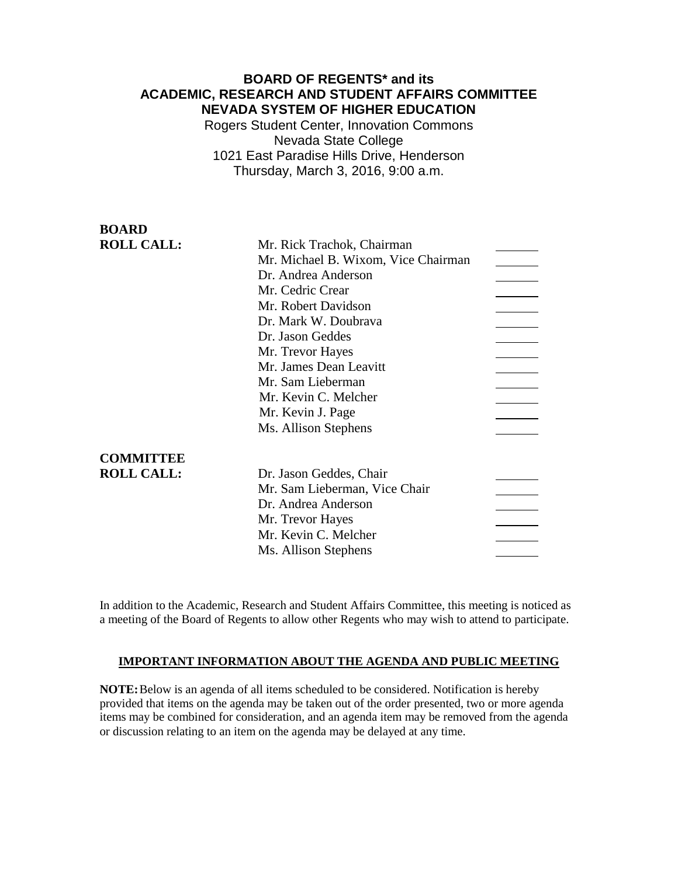## **BOARD OF REGENTS\* and its ACADEMIC, RESEARCH AND STUDENT AFFAIRS COMMITTEE NEVADA SYSTEM OF HIGHER EDUCATION**

Rogers Student Center, Innovation Commons Nevada State College 1021 East Paradise Hills Drive, Henderson Thursday, March 3, 2016, 9:00 a.m.

| <b>BOARD</b>      |                                     |  |
|-------------------|-------------------------------------|--|
| <b>ROLL CALL:</b> | Mr. Rick Trachok, Chairman          |  |
|                   | Mr. Michael B. Wixom, Vice Chairman |  |
|                   | Dr. Andrea Anderson                 |  |
|                   | Mr. Cedric Crear                    |  |
|                   | Mr. Robert Davidson                 |  |
|                   | Dr. Mark W. Doubrava                |  |
|                   | Dr. Jason Geddes                    |  |
|                   | Mr. Trevor Hayes                    |  |
|                   | Mr. James Dean Leavitt              |  |
|                   | Mr. Sam Lieberman                   |  |
|                   | Mr. Kevin C. Melcher                |  |
|                   | Mr. Kevin J. Page                   |  |
|                   | Ms. Allison Stephens                |  |
| <b>COMMITTEE</b>  |                                     |  |
| <b>ROLL CALL:</b> | Dr. Jason Geddes, Chair             |  |
|                   | Mr. Sam Lieberman, Vice Chair       |  |
|                   | Dr. Andrea Anderson                 |  |
|                   | Mr. Trevor Hayes                    |  |
|                   | Mr. Kevin C. Melcher                |  |
|                   | Ms. Allison Stephens                |  |
|                   |                                     |  |

In addition to the Academic, Research and Student Affairs Committee, this meeting is noticed as a meeting of the Board of Regents to allow other Regents who may wish to attend to participate.

### **IMPORTANT INFORMATION ABOUT THE AGENDA AND PUBLIC MEETING**

**NOTE:**Below is an agenda of all items scheduled to be considered. Notification is hereby provided that items on the agenda may be taken out of the order presented, two or more agenda items may be combined for consideration, and an agenda item may be removed from the agenda or discussion relating to an item on the agenda may be delayed at any time.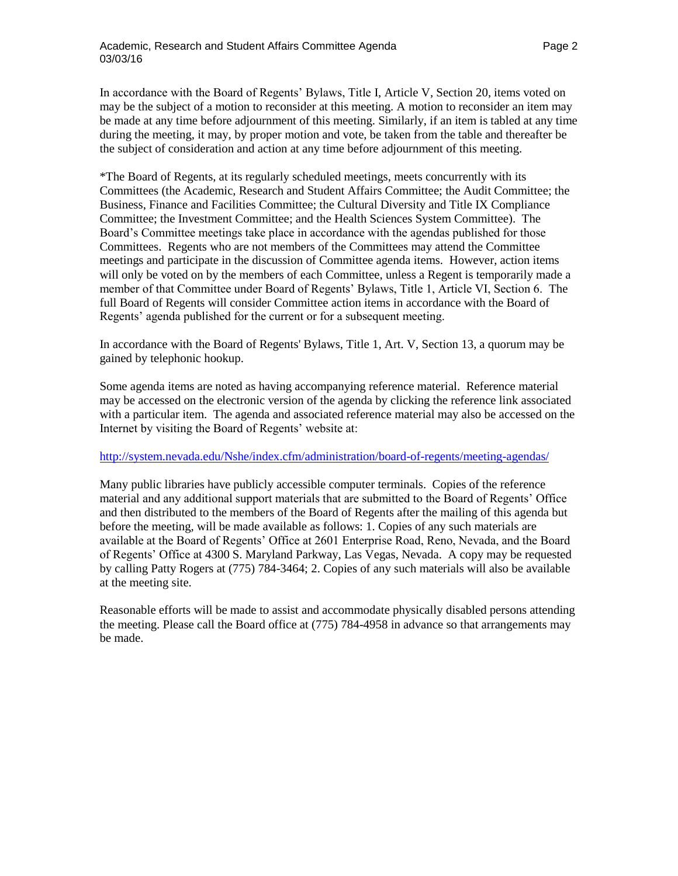In accordance with the Board of Regents' Bylaws, Title I, Article V, Section 20, items voted on may be the subject of a motion to reconsider at this meeting. A motion to reconsider an item may be made at any time before adjournment of this meeting. Similarly, if an item is tabled at any time during the meeting, it may, by proper motion and vote, be taken from the table and thereafter be the subject of consideration and action at any time before adjournment of this meeting.

\*The Board of Regents, at its regularly scheduled meetings, meets concurrently with its Committees (the Academic, Research and Student Affairs Committee; the Audit Committee; the Business, Finance and Facilities Committee; the Cultural Diversity and Title IX Compliance Committee; the Investment Committee; and the Health Sciences System Committee). The Board's Committee meetings take place in accordance with the agendas published for those Committees. Regents who are not members of the Committees may attend the Committee meetings and participate in the discussion of Committee agenda items. However, action items will only be voted on by the members of each Committee, unless a Regent is temporarily made a member of that Committee under Board of Regents' Bylaws, Title 1, Article VI, Section 6. The full Board of Regents will consider Committee action items in accordance with the Board of Regents' agenda published for the current or for a subsequent meeting.

In accordance with the Board of Regents' Bylaws, Title 1, Art. V, Section 13, a quorum may be gained by telephonic hookup.

Some agenda items are noted as having accompanying reference material. Reference material may be accessed on the electronic version of the agenda by clicking the reference link associated with a particular item. The agenda and associated reference material may also be accessed on the Internet by visiting the Board of Regents' website at:

### <http://system.nevada.edu/Nshe/index.cfm/administration/board-of-regents/meeting-agendas/>

Many public libraries have publicly accessible computer terminals. Copies of the reference material and any additional support materials that are submitted to the Board of Regents' Office and then distributed to the members of the Board of Regents after the mailing of this agenda but before the meeting, will be made available as follows: 1. Copies of any such materials are available at the Board of Regents' Office at 2601 Enterprise Road, Reno, Nevada, and the Board of Regents' Office at 4300 S. Maryland Parkway, Las Vegas, Nevada. A copy may be requested by calling Patty Rogers at (775) 784-3464; 2. Copies of any such materials will also be available at the meeting site.

Reasonable efforts will be made to assist and accommodate physically disabled persons attending the meeting. Please call the Board office at (775) 784-4958 in advance so that arrangements may be made.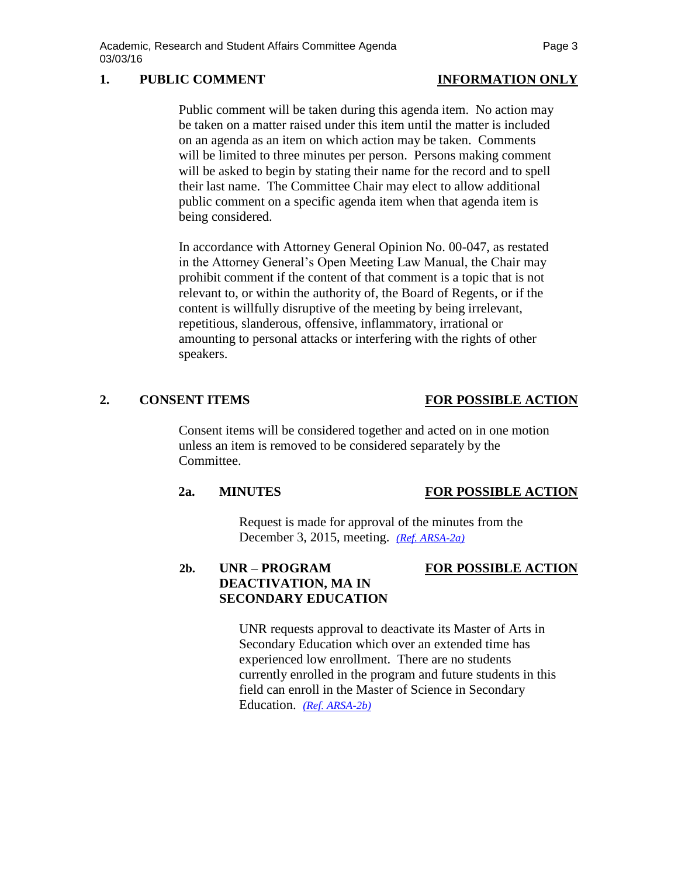# **1. PUBLIC COMMENT INFORMATION ONLY**

Public comment will be taken during this agenda item. No action may be taken on a matter raised under this item until the matter is included on an agenda as an item on which action may be taken. Comments will be limited to three minutes per person. Persons making comment will be asked to begin by stating their name for the record and to spell their last name. The Committee Chair may elect to allow additional public comment on a specific agenda item when that agenda item is being considered.

In accordance with Attorney General Opinion No. 00-047, as restated in the Attorney General's Open Meeting Law Manual, the Chair may prohibit comment if the content of that comment is a topic that is not relevant to, or within the authority of, the Board of Regents, or if the content is willfully disruptive of the meeting by being irrelevant, repetitious, slanderous, offensive, inflammatory, irrational or amounting to personal attacks or interfering with the rights of other speakers.

# **2. CONSENT ITEMS FOR POSSIBLE ACTION**

Consent items will be considered together and acted on in one motion unless an item is removed to be considered separately by the Committee.

# **2a. MINUTES FOR POSSIBLE ACTION**

Request is made for approval of the minutes from the December 3, 2015, meeting. *[\(Ref. ARSA-2a\)](http://system.nevada.edu/tasks/sites/Nshe/assets/File/BoardOfRegents/Agendas/2016/mar-mtgs/arsa-refs/ARSA-2a.pdf)*

# **2b. UNR – PROGRAM FOR POSSIBLE ACTION DEACTIVATION, MA IN SECONDARY EDUCATION**

UNR requests approval to deactivate its Master of Arts in Secondary Education which over an extended time has experienced low enrollment. There are no students currently enrolled in the program and future students in this field can enroll in the Master of Science in Secondary Education. *[\(Ref. ARSA-2b\)](http://system.nevada.edu/tasks/sites/Nshe/assets/File/BoardOfRegents/Agendas/2016/mar-mtgs/arsa-refs/ARSA-2b.pdf)*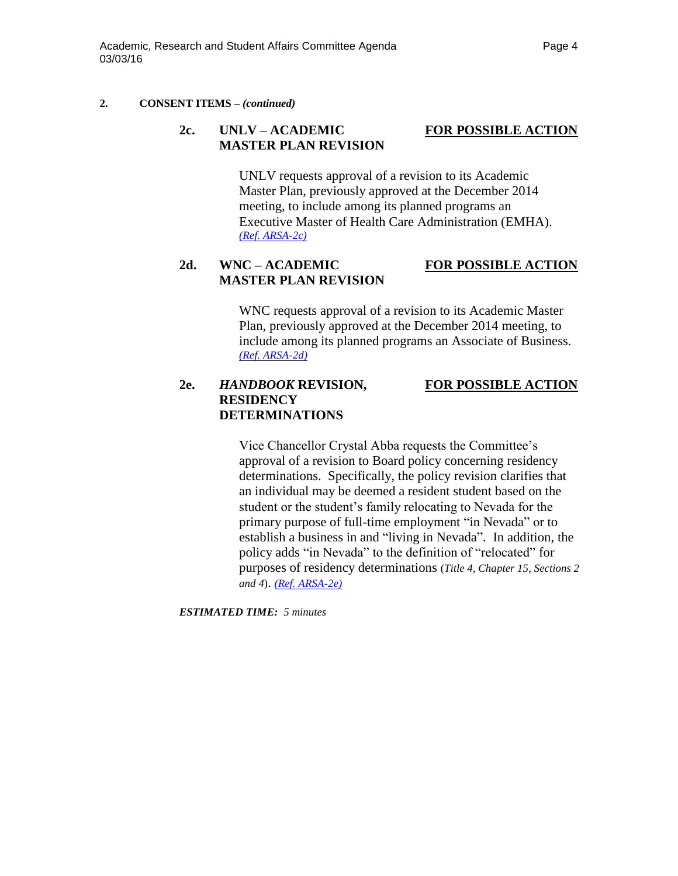### **2. CONSENT ITEMS** *– (continued)*

# **2c. UNLV – ACADEMIC FOR POSSIBLE ACTION MASTER PLAN REVISION**

UNLV requests approval of a revision to its Academic Master Plan, previously approved at the December 2014 meeting, to include among its planned programs an Executive Master of Health Care Administration (EMHA). *[\(Ref. ARSA-2c\)](http://system.nevada.edu/tasks/sites/Nshe/assets/File/BoardOfRegents/Agendas/2016/mar-mtgs/arsa-refs/ARSA-2c.pdf)*

## **2d. WNC – ACADEMIC FOR POSSIBLE ACTION MASTER PLAN REVISION**

WNC requests approval of a revision to its Academic Master Plan, previously approved at the December 2014 meeting, to include among its planned programs an Associate of Business. *[\(Ref. ARSA-2d\)](http://system.nevada.edu/tasks/sites/Nshe/assets/File/BoardOfRegents/Agendas/2016/mar-mtgs/arsa-refs/ARSA-2d.pdf)*

## **2e.** *HANDBOOK* **REVISION, FOR POSSIBLE ACTION RESIDENCY DETERMINATIONS**

Vice Chancellor Crystal Abba requests the Committee's approval of a revision to Board policy concerning residency determinations. Specifically, the policy revision clarifies that an individual may be deemed a resident student based on the student or the student's family relocating to Nevada for the primary purpose of full-time employment "in Nevada" or to establish a business in and "living in Nevada". In addition, the policy adds "in Nevada" to the definition of "relocated" for purposes of residency determinations (*Title 4, Chapter 15, Sections 2 and 4*). *[\(Ref. ARSA-2e\)](http://system.nevada.edu/tasks/sites/Nshe/assets/File/BoardOfRegents/Agendas/2016/mar-mtgs/arsa-refs/ARSA-2e.pdf)*

*ESTIMATED TIME: 5 minutes*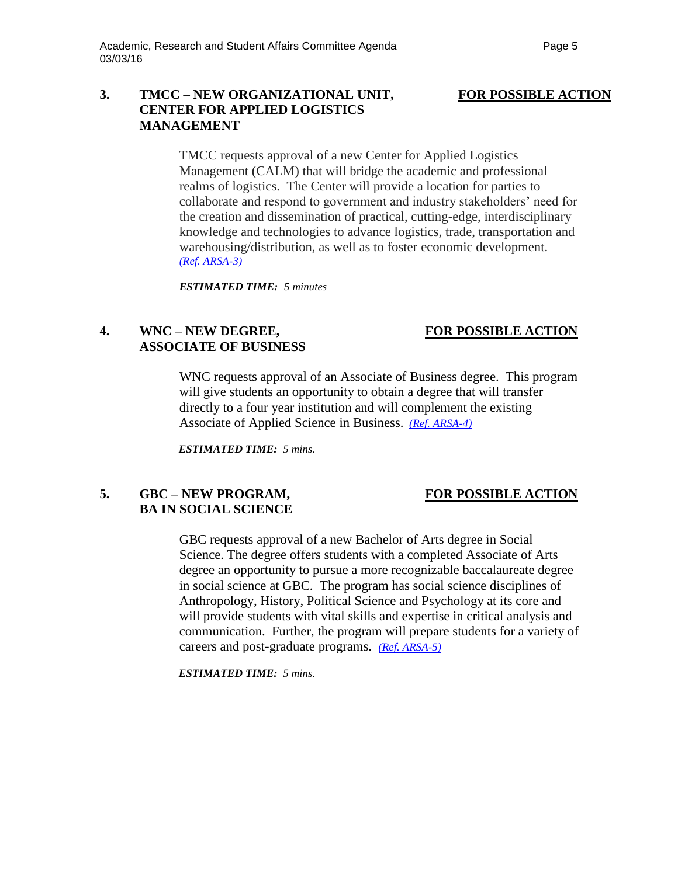### **3. TMCC – NEW ORGANIZATIONAL UNIT, FOR POSSIBLE ACTION CENTER FOR APPLIED LOGISTICS MANAGEMENT**

TMCC requests approval of a new Center for Applied Logistics Management (CALM) that will bridge the academic and professional realms of logistics. The Center will provide a location for parties to collaborate and respond to government and industry stakeholders' need for the creation and dissemination of practical, cutting-edge, interdisciplinary knowledge and technologies to advance logistics, trade, transportation and warehousing/distribution, as well as to foster economic development. *[\(Ref. ARSA-3\)](http://system.nevada.edu/tasks/sites/Nshe/assets/File/BoardOfRegents/Agendas/2016/mar-mtgs/arsa-refs/ARSA-3.pdf)*

*ESTIMATED TIME: 5 minutes*

# **4. WNC – NEW DEGREE, FOR POSSIBLE ACTION ASSOCIATE OF BUSINESS**

WNC requests approval of an Associate of Business degree. This program will give students an opportunity to obtain a degree that will transfer directly to a four year institution and will complement the existing Associate of Applied Science in Business. *[\(Ref. ARSA-4\)](http://system.nevada.edu/tasks/sites/Nshe/assets/File/BoardOfRegents/Agendas/2016/mar-mtgs/arsa-refs/ARSA-4.pdf)*

*ESTIMATED TIME: 5 mins.*

## **5. GBC – NEW PROGRAM, FOR POSSIBLE ACTION BA IN SOCIAL SCIENCE**

GBC requests approval of a new Bachelor of Arts degree in Social Science. The degree offers students with a completed Associate of Arts degree an opportunity to pursue a more recognizable baccalaureate degree in social science at GBC. The program has social science disciplines of Anthropology, History, Political Science and Psychology at its core and will provide students with vital skills and expertise in critical analysis and communication. Further, the program will prepare students for a variety of careers and post-graduate programs. *[\(Ref. ARSA-5\)](http://system.nevada.edu/tasks/sites/Nshe/assets/File/BoardOfRegents/Agendas/2016/mar-mtgs/arsa-refs/ARSA-5.pdf)*

*ESTIMATED TIME: 5 mins.*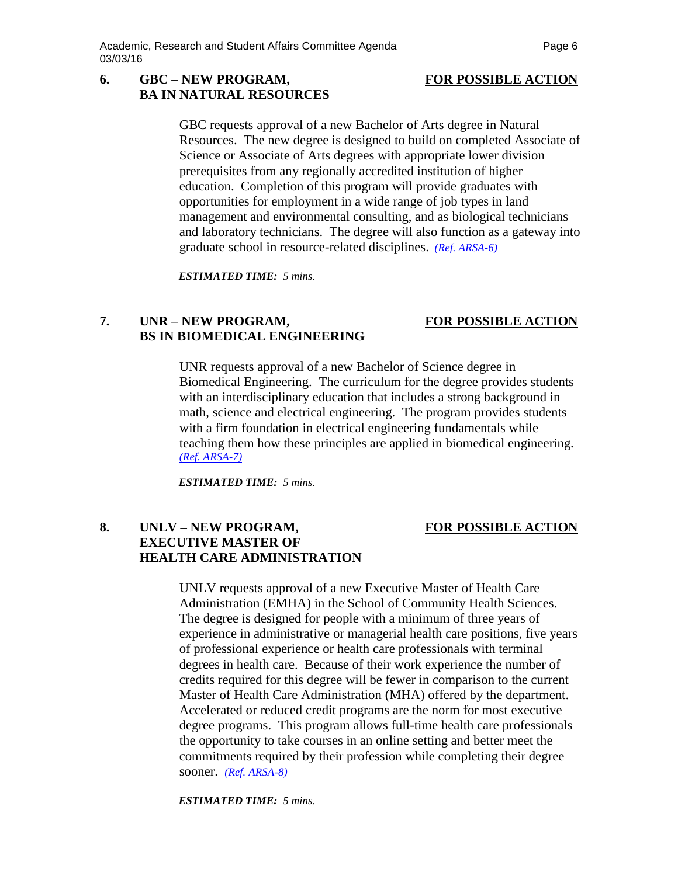# **6. GBC – NEW PROGRAM, FOR POSSIBLE ACTION BA IN NATURAL RESOURCES**

GBC requests approval of a new Bachelor of Arts degree in Natural Resources. The new degree is designed to build on completed Associate of Science or Associate of Arts degrees with appropriate lower division prerequisites from any regionally accredited institution of higher education. Completion of this program will provide graduates with opportunities for employment in a wide range of job types in land management and environmental consulting, and as biological technicians and laboratory technicians. The degree will also function as a gateway into graduate school in resource-related disciplines. *[\(Ref. ARSA-6\)](http://system.nevada.edu/tasks/sites/Nshe/assets/File/BoardOfRegents/Agendas/2016/mar-mtgs/arsa-refs/ARSA-6.pdf)*

*ESTIMATED TIME: 5 mins.*

# **7. UNR – NEW PROGRAM, FOR POSSIBLE ACTION BS IN BIOMEDICAL ENGINEERING**

UNR requests approval of a new Bachelor of Science degree in Biomedical Engineering. The curriculum for the degree provides students with an interdisciplinary education that includes a strong background in math, science and electrical engineering. The program provides students with a firm foundation in electrical engineering fundamentals while teaching them how these principles are applied in biomedical engineering. *[\(Ref. ARSA-7\)](http://system.nevada.edu/tasks/sites/Nshe/assets/File/BoardOfRegents/Agendas/2016/mar-mtgs/arsa-refs/ARSA-7.pdf)*

*ESTIMATED TIME: 5 mins.*

## **8. UNLV – NEW PROGRAM, FOR POSSIBLE ACTION EXECUTIVE MASTER OF HEALTH CARE ADMINISTRATION**

## UNLV requests approval of a new Executive Master of Health Care Administration (EMHA) in the School of Community Health Sciences. The degree is designed for people with a minimum of three years of experience in administrative or managerial health care positions, five years of professional experience or health care professionals with terminal degrees in health care. Because of their work experience the number of credits required for this degree will be fewer in comparison to the current Master of Health Care Administration (MHA) offered by the department. Accelerated or reduced credit programs are the norm for most executive degree programs. This program allows full-time health care professionals the opportunity to take courses in an online setting and better meet the commitments required by their profession while completing their degree sooner. *[\(Ref. ARSA-8\)](http://system.nevada.edu/tasks/sites/Nshe/assets/File/BoardOfRegents/Agendas/2016/mar-mtgs/arsa-refs/ARSA-8.pdf)*

*ESTIMATED TIME: 5 mins.*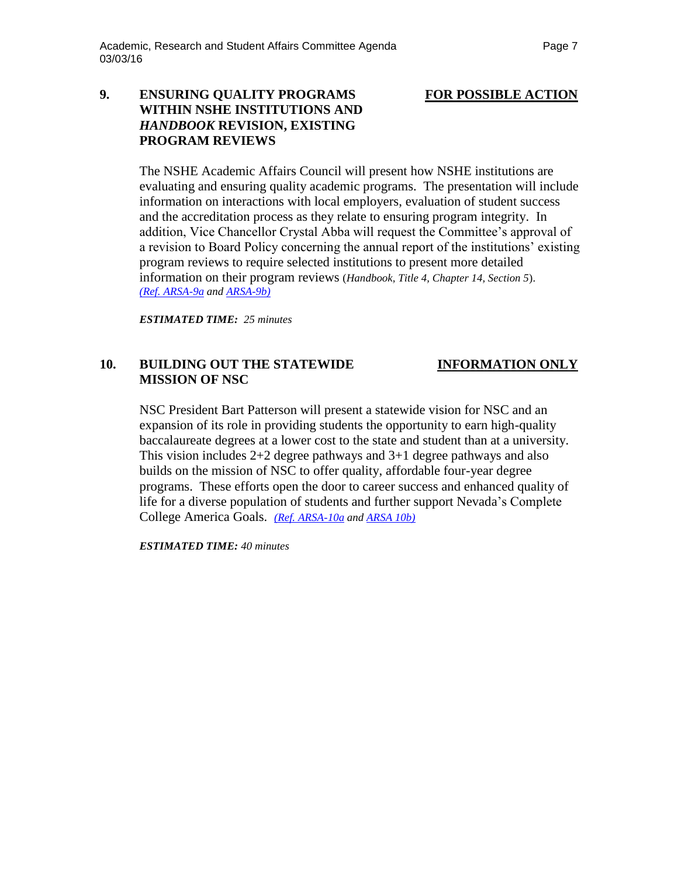# **9. ENSURING QUALITY PROGRAMS FOR POSSIBLE ACTION WITHIN NSHE INSTITUTIONS AND** *HANDBOOK* **REVISION, EXISTING PROGRAM REVIEWS**

The NSHE Academic Affairs Council will present how NSHE institutions are evaluating and ensuring quality academic programs. The presentation will include information on interactions with local employers, evaluation of student success and the accreditation process as they relate to ensuring program integrity. In addition, Vice Chancellor Crystal Abba will request the Committee's approval of a revision to Board Policy concerning the annual report of the institutions' existing program reviews to require selected institutions to present more detailed information on their program reviews (*Handbook, Title 4, Chapter 14, Section 5*). *[\(Ref. ARSA-9a](http://system.nevada.edu/tasks/sites/Nshe/assets/File/BoardOfRegents/Agendas/2016/mar-mtgs/arsa-refs/ARSA-9a.pdf) and [ARSA-9b\)](http://system.nevada.edu/tasks/sites/Nshe/assets/File/BoardOfRegents/Agendas/2016/mar-mtgs/arsa-refs/ARSA-9b.pdf)*

*ESTIMATED TIME: 25 minutes*

## **10. BUILDING OUT THE STATEWIDE INFORMATION ONLY MISSION OF NSC**

NSC President Bart Patterson will present a statewide vision for NSC and an expansion of its role in providing students the opportunity to earn high-quality baccalaureate degrees at a lower cost to the state and student than at a university. This vision includes 2+2 degree pathways and 3+1 degree pathways and also builds on the mission of NSC to offer quality, affordable four-year degree programs. These efforts open the door to career success and enhanced quality of life for a diverse population of students and further support Nevada's Complete College America Goals. *[\(Ref. ARSA-10a](http://system.nevada.edu/tasks/sites/Nshe/assets/File/BoardOfRegents/Agendas/2016/mar-mtgs/arsa-refs/ARSA-10a.pdf) and [ARSA 10b\)](http://system.nevada.edu/tasks/sites/Nshe/assets/File/BoardOfRegents/Agendas/2016/mar-mtgs/arsa-refs/ARSA-10b.pdf)*

*ESTIMATED TIME: 40 minutes*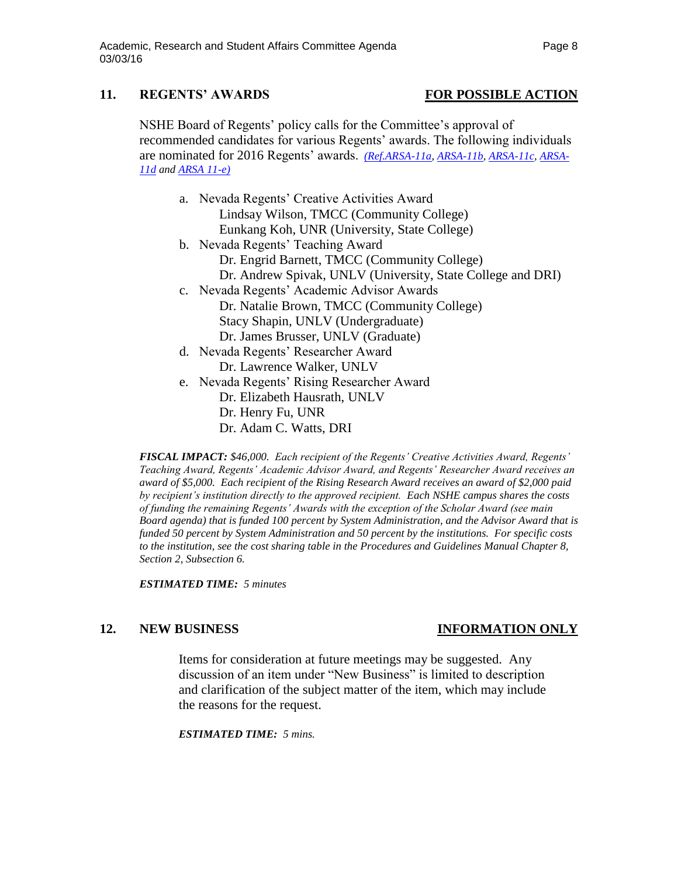# **11. REGENTS' AWARDS FOR POSSIBLE ACTION**

NSHE Board of Regents' policy calls for the Committee's approval of recommended candidates for various Regents' awards. The following individuals are nominated for 2016 Regents' awards. *[\(Ref.ARSA-11a,](http://system.nevada.edu/tasks/sites/Nshe/assets/File/BoardOfRegents/Agendas/2016/mar-mtgs/arsa-refs/ARSA-11a.pdf) [ARSA-11b,](http://system.nevada.edu/tasks/sites/Nshe/assets/File/BoardOfRegents/Agendas/2016/mar-mtgs/arsa-refs/ARSA-11b.pdf) [ARSA-11c,](http://system.nevada.edu/tasks/sites/Nshe/assets/File/BoardOfRegents/Agendas/2016/mar-mtgs/arsa-refs/ARSA-11c.pdf) [ARSA-](http://system.nevada.edu/tasks/sites/Nshe/assets/File/BoardOfRegents/Agendas/2016/mar-mtgs/arsa-refs/ARSA-11d.pdf)[11d](http://system.nevada.edu/tasks/sites/Nshe/assets/File/BoardOfRegents/Agendas/2016/mar-mtgs/arsa-refs/ARSA-11d.pdf) and [ARSA 11-e\)](http://system.nevada.edu/tasks/sites/Nshe/assets/File/BoardOfRegents/Agendas/2016/mar-mtgs/arsa-refs/ARSA-11e.pdf)*

- a. Nevada Regents' Creative Activities Award Lindsay Wilson, TMCC (Community College) Eunkang Koh, UNR (University, State College)
- b. Nevada Regents' Teaching Award Dr. Engrid Barnett, TMCC (Community College) Dr. Andrew Spivak, UNLV (University, State College and DRI)
- c. Nevada Regents' Academic Advisor Awards Dr. Natalie Brown, TMCC (Community College) Stacy Shapin, UNLV (Undergraduate) Dr. James Brusser, UNLV (Graduate)
- d. Nevada Regents' Researcher Award Dr. Lawrence Walker, UNLV
- e. Nevada Regents' Rising Researcher Award Dr. Elizabeth Hausrath, UNLV Dr. Henry Fu, UNR Dr. Adam C. Watts, DRI

*FISCAL IMPACT: \$46,000. Each recipient of the Regents' Creative Activities Award, Regents' Teaching Award, Regents' Academic Advisor Award, and Regents' Researcher Award receives an award of \$5,000. Each recipient of the Rising Research Award receives an award of \$2,000 paid by recipient's institution directly to the approved recipient. Each NSHE campus shares the costs of funding the remaining Regents' Awards with the exception of the Scholar Award (see main Board agenda) that is funded 100 percent by System Administration, and the Advisor Award that is funded 50 percent by System Administration and 50 percent by the institutions. For specific costs to the institution, see the cost sharing table in the Procedures and Guidelines Manual Chapter 8, Section 2, Subsection 6.*

*ESTIMATED TIME: 5 minutes*

# **12. NEW BUSINESS INFORMATION ONLY**

Items for consideration at future meetings may be suggested. Any discussion of an item under "New Business" is limited to description and clarification of the subject matter of the item, which may include the reasons for the request.

### *ESTIMATED TIME: 5 mins.*